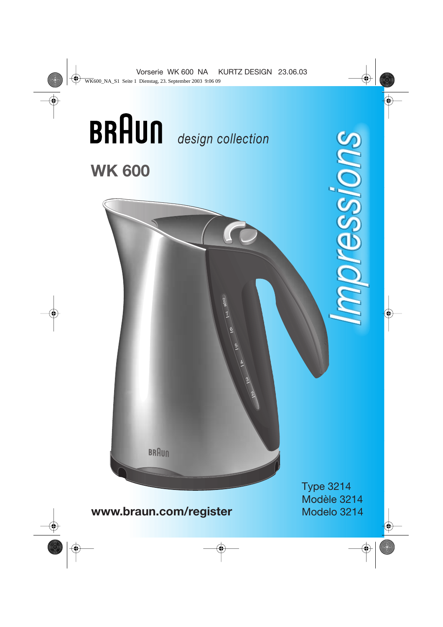

**www.braun.com/register**

Type 3214 Modèle 3214 Modelo 3214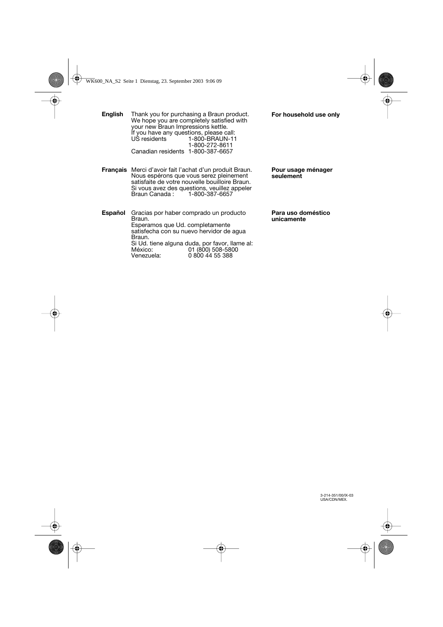| English  | Thank you for purchasing a Braun product.<br>We hope you are completely satisfied with<br>your new Braun Impressions kettle.<br>If you have any questions, please call:<br>US residents<br>1-800-BRAUN-11<br>1-800-272-8611<br>Canadian residents 1-800-387-6657 | For household use only           |
|----------|------------------------------------------------------------------------------------------------------------------------------------------------------------------------------------------------------------------------------------------------------------------|----------------------------------|
| Français | Merci d'avoir fait l'achat d'un produit Braun.<br>Nous espérons que vous serez pleinement<br>satisfaite de votre nouvelle bouilloire Braun.<br>Si vous avez des questions, veuillez appeler<br>Braun Canada:<br>1-800-387-6657                                   | Pour usage ménager<br>seulement  |
| Español  | Gracias por haber comprado un producto<br>Braun.<br>Esperamos que Ud. completamente<br>satisfecha con su nuevo hervidor de aqua<br>Braun.                                                                                                                        | Para uso doméstico<br>unicamente |

Si Ud. tiene alguna duda, por favor, llame al: México: 01 (800) 508-5800 Venezuela: 0 800 44 55 388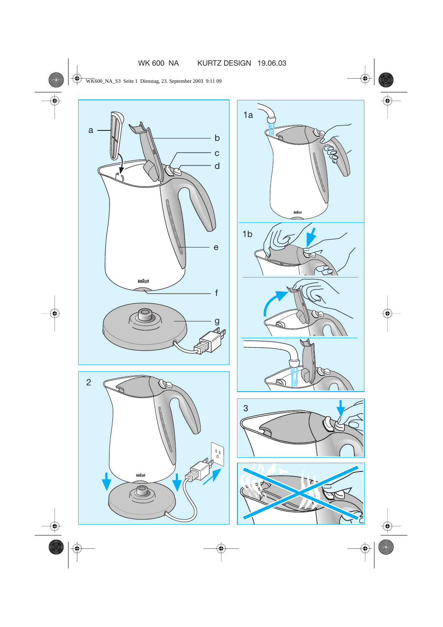

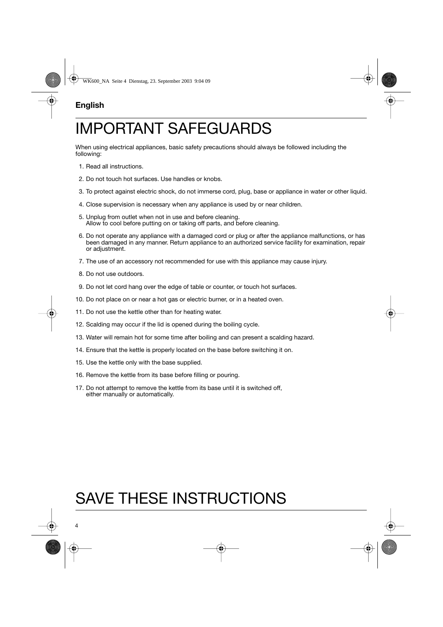# **English**

# IMPORTANT SAFEGUARDS

When using electrical appliances, basic safety precautions should always be followed including the following:

- 1. Read all instructions.
- 2. Do not touch hot surfaces. Use handles or knobs.
- 3. To protect against electric shock, do not immerse cord, plug, base or appliance in water or other liquid.
- 4. Close supervision is necessary when any appliance is used by or near children.
- 5. Unplug from outlet when not in use and before cleaning. Allow to cool before putting on or taking off parts, and before cleaning.
- 6. Do not operate any appliance with a damaged cord or plug or after the appliance malfunctions, or has been damaged in any manner. Return appliance to an authorized service facility for examination, repair or adjustment.
- 7. The use of an accessory not recommended for use with this appliance may cause injury.
- 8. Do not use outdoors.
- 9. Do not let cord hang over the edge of table or counter, or touch hot surfaces.
- 10. Do not place on or near a hot gas or electric burner, or in a heated oven.
- 11. Do not use the kettle other than for heating water.
- 12. Scalding may occur if the lid is opened during the boiling cycle.
- 13. Water will remain hot for some time after boiling and can present a scalding hazard.
- 14. Ensure that the kettle is properly located on the base before switching it on.
- 15. Use the kettle only with the base supplied.
- 16. Remove the kettle from its base before filling or pouring.
- 17. Do not attempt to remove the kettle from its base until it is switched off, either manually or automatically.

# SAVE THESE INSTRUCTIONS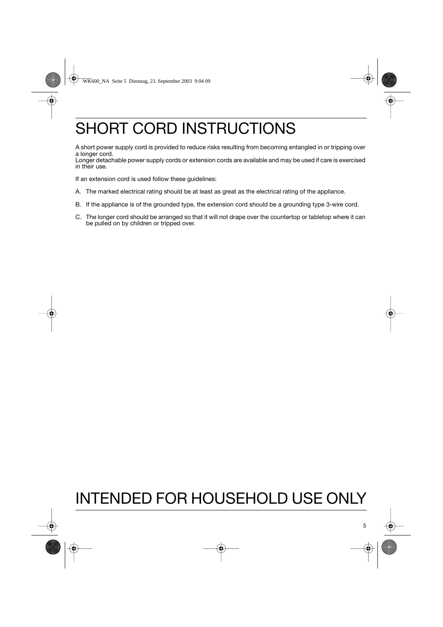# SHORT CORD INSTRUCTIONS

A short power supply cord is provided to reduce risks resulting from becoming entangled in or tripping over a longer cord.

Longer detachable power supply cords or extension cords are available and may be used if care is exercised in their use.

If an extension cord is used follow these guidelines:

- A. The marked electrical rating should be at least as great as the electrical rating of the appliance.
- B. If the appliance is of the grounded type, the extension cord should be a grounding type 3-wire cord.
- C. The longer cord should be arranged so that it will not drape over the countertop or tabletop where it can be pulled on by children or tripped over.

# INTENDED FOR HOUSEHOLD USE ONLY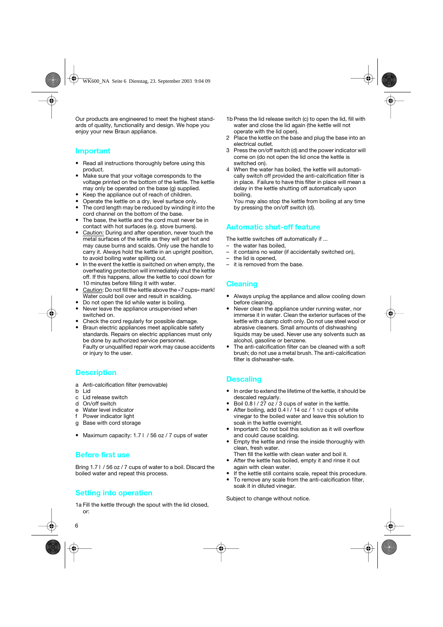Our products are engineered to meet the highest standards of quality, functionality and design. We hope you enjoy your new Braun appliance.

#### **Important**

- Read all instructions thoroughly before using this product.
- Make sure that your voltage corresponds to the voltage printed on the bottom of the kettle. The kettle may only be operated on the base (g) supplied.
- Keep the appliance out of reach of children.
- Operate the kettle on a dry, level surface only.
- The cord length may be reduced by winding it into the cord channel on the bottom of the base.
- The base, the kettle and the cord must never be in contact with hot surfaces (e.g. stove burners).
- Caution: During and after operation, never touch the metal surfaces of the kettle as they will get hot and may cause burns and scalds. Only use the handle to carry it. Always hold the kettle in an upright position, to avoid boiling water spilling out.
- In the event the kettle is switched on when empty, the overheating protection will immediately shut the kettle off. If this happens, allow the kettle to cool down for 10 minutes before filling it with water.
- Caution: Do not fill the kettle above the «7 cups» mark! Water could boil over and result in scalding.
- Do not open the lid while water is boiling.
- Never leave the appliance unsupervised when switched on.
- Check the cord regularly for possible damage.
- Braun electric appliances meet applicable safety standards. Repairs on electric appliances must only be done by authorized service personnel. Faulty or unqualified repair work may cause accidents or injury to the user.

### **Description**

- a Anti-calcification filter (removable)
- b Lid
- c Lid release switch
- d On/off switch
- e Water level indicator
- f Power indicator light
- g Base with cord storage
- Maximum capacity: 1.7 l / 56 oz / 7 cups of water

### **Before first use**

Bring 1.7 l / 56 oz / 7 cups of water to a boil. Discard the boiled water and repeat this process.

### **Setting into operation**

1a Fill the kettle through the spout with the lid closed, or:

- 1b Press the lid release switch (c) to open the lid, fill with water and close the lid again (the kettle will not operate with the lid open).
- 2 Place the kettle on the base and plug the base into an electrical outlet.
- 3 Press the on/off switch (d) and the power indicator will come on (do not open the lid once the kettle is switched on).
- 4 When the water has boiled, the kettle will automatically switch off provided the anti-calcification filter is in place. Failure to have this filter in place will mean a delay in the kettle shutting off automatically upon boiling.

You may also stop the kettle from boiling at any time by pressing the on/off switch (d).

# **Automatic shut-off feature**

The kettle switches off automatically if ...

- the water has boiled,
- it contains no water (if accidentally switched on),
- the lid is opened,
- it is removed from the base.

# **Cleaning**

- Always unplug the appliance and allow cooling down before cleaning.
- Never clean the appliance under running water, nor immerse it in water. Clean the exterior surfaces of the kettle with a damp cloth only. Do not use steel wool or abrasive cleaners. Small amounts of dishwashing liquids may be used. Never use any solvents such as alcohol, gasoline or benzene.
- The anti-calcification filter can be cleaned with a soft brush; do not use a metal brush. The anti-calcification filter is dishwasher-safe.

## **Descaling**

- In order to extend the lifetime of the kettle, it should be descaled regularly.
- Boil 0.8 I / 27 oz / 3 cups of water in the kettle.
- After boiling, add 0.4 l / 14 oz / 1 1/2 cups of white vinegar to the boiled water and leave this solution to soak in the kettle overnight.
- Important: Do not boil this solution as it will overflow and could cause scalding.
- Empty the kettle and rinse the inside thoroughly with clean, fresh water.
- Then fill the kettle with clean water and boil it. • After the kettle has boiled, empty it and rinse it out
- again with clean water.
- If the kettle still contains scale, repeat this procedure.
- To remove any scale from the anti-calcification filter, soak it in diluted vinegar.

Subject to change without notice.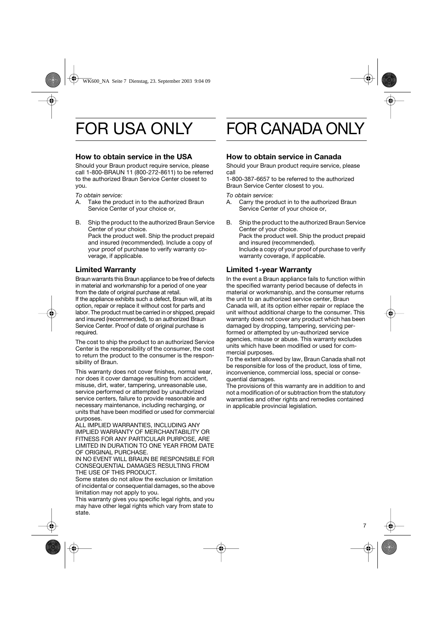# FOR USA ONLY

## **How to obtain service in the USA**

Should your Braun product require service, please call 1-800-BRAUN 11 (800-272-8611) to be referred to the authorized Braun Service Center closest to you.

*To obtain service:*

- A. Take the product in to the authorized Braun Service Center of your choice or,
- B. Ship the product to the authorized Braun Service Center of your choice. Pack the product well. Ship the product prepaid and insured (recommended). Include a copy of your proof of purchase to verify warranty coverage, if applicable.

# **Limited Warranty**

Braun warrants this Braun appliance to be free of defects in material and workmanship for a period of one year from the date of original purchase at retail. If the appliance exhibits such a defect, Braun will, at its option, repair or replace it without cost for parts and labor. The product must be carried in or shipped, prepaid and insured (recommended), to an authorized Braun Service Center. Proof of date of original purchase is required.

The cost to ship the product to an authorized Service Center is the responsibility of the consumer, the cost to return the product to the consumer is the responsibility of Braun.

This warranty does not cover finishes, normal wear, nor does it cover damage resulting from accident, misuse, dirt, water, tampering, unreasonable use, service performed or attempted by unauthorized service centers, failure to provide reasonable and necessary maintenance, including recharging, or units that have been modified or used for commercial purposes.

ALL IMPLIED WARRANTIES, INCLUDING ANY IMPLIED WARRANTY OF MERCHANTABILITY OR FITNESS FOR ANY PARTICULAR PURPOSE, ARE LIMITED IN DURATION TO ONE YEAR FROM DATE OF ORIGINAL PURCHASE.

IN NO EVENT WILL BRAUN BE RESPONSIBLE FOR CONSEQUENTIAL DAMAGES RESULTING FROM THE USE OF THIS PRODUCT.

Some states do not allow the exclusion or limitation of incidental or consequential damages, so the above limitation may not apply to you.

This warranty gives you specific legal rights, and you may have other legal rights which vary from state to state.

# FOR CANADA ONLY

## **How to obtain service in Canada**

Should your Braun product require service, please call

1-800-387-6657 to be referred to the authorized Braun Service Center closest to you.

*To obtain service:*

- A. Carry the product in to the authorized Braun Service Center of your choice or,
- B. Ship the product to the authorized Braun Service Center of your choice. Pack the product well. Ship the product prepaid and insured (recommended). Include a copy of your proof of purchase to verify warranty coverage, if applicable.

# **Limited 1-year Warranty**

In the event a Braun appliance fails to function within the specified warranty period because of defects in material or workmanship, and the consumer returns the unit to an authorized service center, Braun Canada will, at its option either repair or replace the unit without additional charge to the consumer. This warranty does not cover any product which has been damaged by dropping, tampering, servicing performed or attempted by un-authorized service agencies, misuse or abuse. This warranty excludes units which have been modified or used for commercial purposes.

To the extent allowed by law, Braun Canada shall not be responsible for loss of the product, loss of time, inconvenience, commercial loss, special or consequential damages.

The provisions of this warranty are in addition to and not a modification of or subtraction from the statutory warranties and other rights and remedies contained in applicable provincial legislation.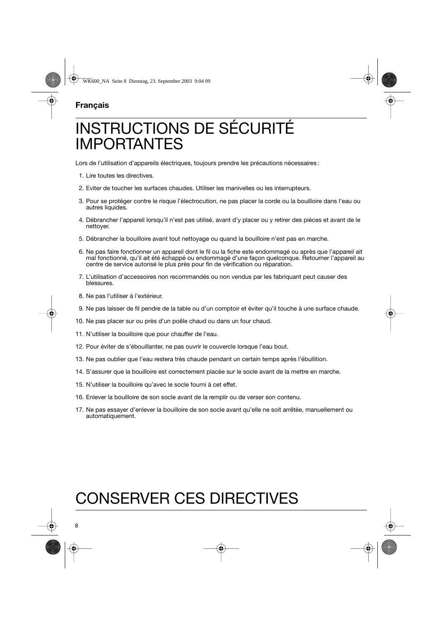# INSTRUCTIONS DE SÉCURITÉ IMPORTANTES

Lors de l'utilisation d'appareils électriques, toujours prendre les précautions nécessaires :

- 1. Lire toutes les directives.
- 2. Eviter de toucher les surfaces chaudes. Utiliser les manivelles ou les interrupteurs.
- 3. Pour se protéger contre le risque l'électrocution, ne pas placer la corde ou la bouilloire dans l'eau ou autres liquides.
- 4. Débrancher l'appareil lorsqu'il n'est pas utilisé, avant d'y placer ou y retirer des pièces et avant de le nettoyer.
- 5. Débrancher la bouilloire avant tout nettoyage ou quand la bouilloire n'est pas en marche.
- 6. Ne pas faire fonctionner un appareil dont le fil ou la fiche este endommagé ou après que l'appareil ait mal fonctionné, qu'il ait été échappé ou endommagé d'une façon quelconque. Retourner l'appareil au centre de service autorisé le plus près pour fin de vérification ou réparation.
- 7. L'utilisation d'accessoires non recommandés ou non vendus par les fabriquant peut causer des blessures.
- 8. Ne pas l'utiliser à l'extérieur.
- 9. Ne pas laisser de fil pendre de la table ou d'un comptoir et éviter qu'il touche à une surface chaude.
- 10. Ne pas placer sur ou près d'un poêle chaud ou dans un four chaud.
- 11. N'utiliser la bouilloire que pour chauffer de l'eau.
- 12. Pour éviter de s'ébouillanter, ne pas ouvrir le couvercle lorsque l'eau bout.
- 13. Ne pas oublier que l'eau restera très chaude pendant un certain temps après l'ébullition.
- 14. S'assurer que la bouilloire est correctement placée sur le socle avant de la mettre en marche.
- 15. N'utiliser la bouilloire qu'avec le socle fourni à cet effet.
- 16. Enlever la bouilloire de son socle avant de la remplir ou de verser son contenu.
- 17. Ne pas essayer d'enlever la bouilloire de son socle avant qu'elle ne soit arrêtée, manuellement ou automatiquement.

# CONSERVER CES DIRECTIVES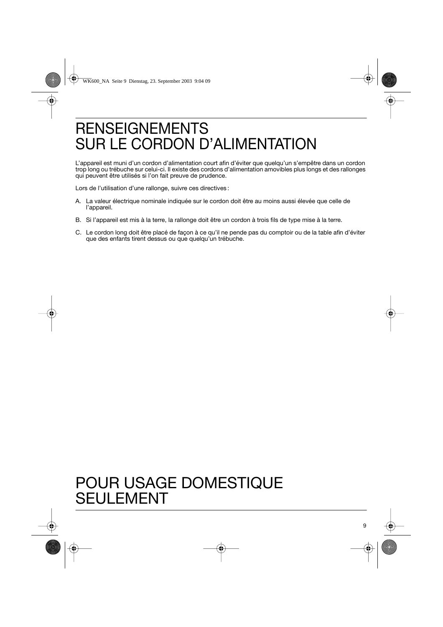# RENSEIGNEMENTS SUR LE CORDON D'ALIMENTATION

L'appareil est muni d'un cordon d'alimentation court afin d'éviter que quelqu'un s'empêtre dans un cordon trop long ou trébuche sur celui-ci. Il existe des cordons d'alimentation amovibles plus longs et des rallonges qui peuvent être utilisés si l'on fait preuve de prudence.

Lors de l'utilisation d'une rallonge, suivre ces directives :

- A. La valeur électrique nominale indiquée sur le cordon doit être au moins aussi élevée que celle de l'appareil.
- B. Si l'appareil est mis à la terre, la rallonge doit être un cordon à trois fils de type mise à la terre.
- C. Le cordon long doit être placé de façon à ce qu'il ne pende pas du comptoir ou de la table afin d'éviter que des enfants tirent dessus ou que quelqu'un trébuche.

# POUR USAGE DOMESTIQUE SEULEMENT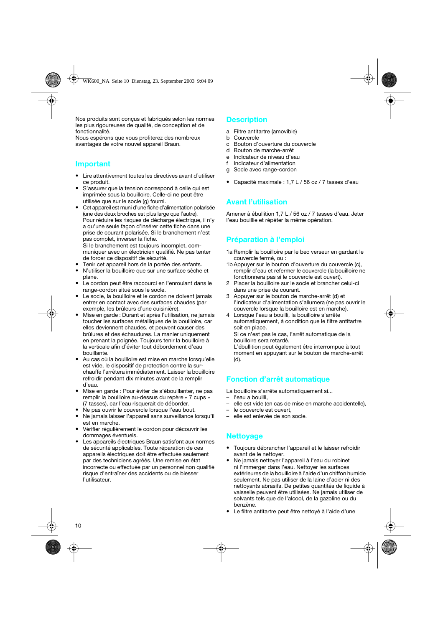Nos produits sont conçus et fabriqués selon les normes les plus rigoureuses de qualité, de conception et de fonctionnalité.

Nous espérons que vous profiterez des nombreux avantages de votre nouvel appareil Braun.

#### **Important**

- Lire attentivement toutes les directives avant d'utiliser ce produit.
- S'assurer que la tension correspond à celle qui est imprimée sous la bouilloire. Celle-ci ne peut être utilisée que sur le socle (g) fourni.
- Cet appareil est muni d'une fiche d'alimentation polarisée (une des deux broches est plus large que l'autre). Pour réduire les risques de décharge électrique, il n'y a qu'une seule façon d'insérer cette fiche dans une prise de courant polarisée. Si le branchement n'est pas complet, inverser la fiche. Si le branchement est toujours incomplet, communiquer avec un électricien qualifié. Ne pas tenter de forcer ce dispositif de sécurité.
- Tenir cet appareil hors de la portée des enfants.
- N'utiliser la bouilloire que sur une surface sèche et plane.
- Le cordon peut être raccourci en l'enroulant dans le range-cordon situé sous le socle.
- Le socle, la bouilloire et le cordon ne doivent jamais entrer en contact avec des surfaces chaudes (par exemple, les brûleurs d'une cuisinière).
- Mise en garde : Durant et après l'utilisation, ne jamais toucher les surfaces métalliques de la bouilloire, car elles deviennent chaudes, et peuvent causer des brûlures et des échaudures. La manier uniquement en prenant la poignée. Toujours tenir la bouilloire à la verticale afin d'éviter tout débordement d'eau bouillante.
- Au cas où la bouilloire est mise en marche lorsqu'elle est vide, le dispositif de protection contre la surchauffe l'arrêtera immédiatement. Laisser la bouilloire refroidir pendant dix minutes avant de la remplir d'eau.
- Mise en garde : Pour éviter de s'ébouillanter, ne pas remplir la bouilloire au-dessus du repère « 7 cups » (7 tasses), car l'eau risquerait de déborder.
- Ne pas ouvrir le couvercle lorsque l'eau bout.
- Ne jamais laisser l'appareil sans surveillance lorsqu'il est en marche.
- Vérifier régulièrement le cordon pour découvrir les dommages éventuels.
- Les appareils électriques Braun satisfont aux normes de sécurité applicables. Toute réparation de ces appareils électriques doit être effectuée seulement par des techniciens agréés. Une remise en état incorrecte ou effectuée par un personnel non qualifié risque d'entraîner des accidents ou de blesser l'utilisateur.

### **Description**

- a Filtre antitartre (amovible)
- b Couvercle
- c Bouton d'ouverture du couvercle
- d Bouton de marche-arrêt
- e Indicateur de niveau d'eau
- f Indicateur d'alimentation
- g Socle avec range-cordon
- Capacité maximale : 1,7 L / 56 oz / 7 tasses d'eau

### **Avant l'utilisation**

Amener à ébullition 1,7 L / 56 oz / 7 tasses d'eau. Jeter l'eau bouillie et répéter la même opération.

# **Préparation à l'emploi**

- 1a Remplir la bouilloire par le bec verseur en gardant le couvercle fermé, ou :
- 1b Appuyer sur le bouton d'ouverture du couvercle (c), remplir d'eau et refermer le couvercle (la bouilloire ne fonctionnera pas si le couvercle est ouvert).
- 2 Placer la bouilloire sur le socle et brancher celui-ci dans une prise de courant.
- 3 Appuyer sur le bouton de marche-arrêt (d) et l'indicateur d'alimentation s'allumera (ne pas ouvrir le couvercle lorsque la bouilloire est en marche).
- 4 Lorsque l'eau a bouilli, la bouilloire s'arrête automatiquement, à condition que le filtre antitartre soit en place. Si ce n'est pas le cas, l'arrêt automatique de la bouilloire sera retardé.

L'ébullition peut également être interrompue à tout moment en appuyant sur le bouton de marche-arrêt (d).

# **Fonction d'arrêt automatique**

La bouilloire s'arrête automatiquement si...

- l'eau a bouilli,
- elle est vide (en cas de mise en marche accidentelle),
- le couvercle est ouvert.
- elle est enlevée de son socle.

## **Nettoyage**

- Toujours débrancher l'appareil et le laisser refroidir avant de le nettoyer.
- Ne jamais nettoyer l'appareil à l'eau du robinet ni l'immerger dans l'eau. Nettoyer les surfaces extérieures de la bouilloire à l'aide d'un chiffon humide seulement. Ne pas utiliser de la laine d'acier ni des nettoyants abrasifs. De petites quantités de liquide à vaisselle peuvent être utilisées. Ne jamais utiliser de solvants tels que de l'alcool, de la gazoline ou du benzène.
- Le filtre antitartre peut être nettoyé à l'aide d'une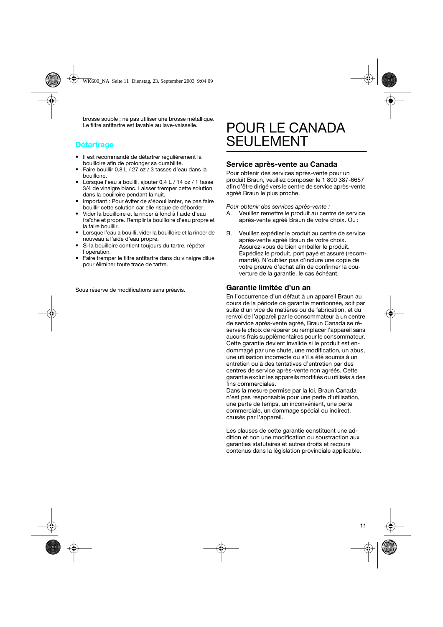brosse souple ; ne pas utiliser une brosse métallique. Le filtre antitartre est lavable au lave-vaisselle.

## **Détartrage**

- Il est recommandé de détartrer régulièrement la bouilloire afin de prolonger sa durabilité.
- Faire bouillir 0,8 L / 27 oz / 3 tasses d'eau dans la bouilloire.
- Lorsque l'eau a bouilli, ajouter 0,4 L / 14 oz / 1 tasse 3/4 de vinaigre blanc. Laisser tremper cette solution dans la bouilloire pendant la nuit.
- Important : Pour éviter de s'ébouillanter, ne pas faire bouillir cette solution car elle risque de déborder.
- Vider la bouilloire et la rincer à fond à l'aide d'eau fraîche et propre. Remplir la bouilloire d'eau propre et la faire bouillir.
- Lorsque l'eau a bouilli, vider la bouilloire et la rincer de nouveau à l'aide d'eau propre.
- Si la bouilloire contient toujours du tartre, répéter l'opération.
- Faire tremper le filtre antitartre dans du vinaigre dilué pour éliminer toute trace de tartre.

Sous réserve de modifications sans préavis.

# POUR LE CANADA **SEULEMENT**

## **Service après-vente au Canada**

Pour obtenir des services après-vente pour un produit Braun, veuillez composer le 1 800 387-6657 afin d'être dirigé vers le centre de service après-vente agréé Braun le plus proche.

*Pour obtenir des services après-vente :*

- A. Veuillez remettre le produit au centre de service après-vente agréé Braun de votre choix. Ou :
- B. Veuillez expédier le produit au centre de service après-vente agréé Braun de votre choix. Assurez-vous de bien emballer le produit. Expédiez le produit, port payé et assuré (recommandé). N'oubliez pas d'inclure une copie de votre preuve d'achat afin de confirmer la couverture de la garantie, le cas échéant.

## **Garantie limitée d'un an**

En l'occurrence d'un défaut à un appareil Braun au cours de la période de garantie mentionnée, soit par suite d'un vice de matières ou de fabrication, et du renvoi de l'appareil par le consommateur à un centre de service après-vente agréé, Braun Canada se réserve le choix de réparer ou remplacer l'appareil sans aucuns frais supplémentaires pour le consommateur. Cette garantie devient invalide si le produit est endommagé par une chute, une modification, un abus, une utilisation incorrecte ou s'il a été soumis à un entretien ou à des tentatives d'entretien par des centres de service après-vente non agréés. Cette garantie exclut les appareils modifiés ou utilisés à des fins commerciales.

Dans la mesure permise par la loi, Braun Canada n'est pas responsable pour une perte d'utilisation, une perte de temps, un inconvénient, une perte commerciale, un dommage spécial ou indirect, causés par l'appareil.

Les clauses de cette garantie constituent une addition et non une modification ou soustraction aux garanties statutaires et autres droits et recours contenus dans la législation provinciale applicable.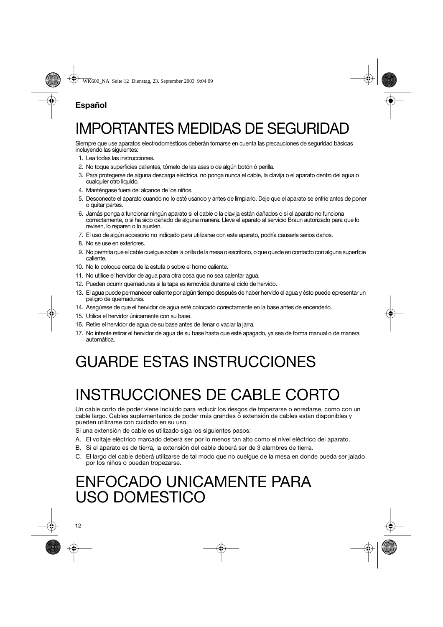# **Español**

# IMPORTANTES MEDIDAS DE SEGURIDAD

Siempre que use aparatos electrodomésticos deberán tomarse en cuenta las precauciones de seguridad básicas incluyendo las siguientes:

- 1. Lea todas las instrucciones.
- 2. No toque superficies calientes, tómelo de las asas o de algún botón ó perilla.
- 3. Para protegerse de alguna descarga eléctrica, no ponga nunca el cable, la clavija o el aparato dentro del agua o cualquier otro líquido.
- 4. Manténgase fuera del alcance de los niños.
- 5. Desconecte el aparato cuando no lo esté usando y antes de limpiarlo. Deje que el aparato se enfríe antes de poner o quitar partes.
- 6. Jamás ponga a funcionar ningún aparato si el cable o la clavija están dañados o si el aparato no funciona correctamente, o si ha sido dañado de alguna manera. Lleve el aparato al servicio Braun autorizado para que lo revisen, lo reparen o lo ajusten.
- 7. El uso de algún accesorio no indicado para utilizarse con este aparato, podría causarle serios daños.
- 8. No se use en exteriores.
- 9. No permita que el cable cuelgue sobre la orilla de la mesa o escritorio, o que quede en contacto con alguna superficie caliente.
- 10. No lo coloque cerca de la estufa o sobre el horno caliente.
- 11. No utilice el hervidor de agua para otra cosa que no sea calentar agua.
- 12. Pueden ocurrir quemaduras si la tapa es removida durante el ciclo de hervido.
- 13. El agua puede permanecer caliente por algún tiempo después de haber hervido el agua y ésto puede representar un peligro de quemaduras.
- 14. Asegúrese de que el hervidor de agua esté colocado correctamente en la base antes de encenderlo.
- 15. Utilice el hervidor únicamente con su base.
- 16. Retire el hervidor de agua de su base antes de llenar o vaciar la jarra.
- 17. No intente retirar el hervidor de agua de su base hasta que esté apagado, ya sea de forma manual o de manera automática.

# GUARDE ESTAS INSTRUCCIONES

# INSTRUCCIONES DE CABLE CORTO

Un cable corto de poder viene incluído para reducir los riesgos de tropezarse o enredarse, como con un cable largo. Cables suplementarios de poder más grandes ó extensión de cables estan disponibles y pueden utilizarse con cuidado en su uso.

Si una extensión de cable es utilizado siga los siguientes pasos:

- A. El voltaje eléctrico marcado deberá ser por lo menos tan alto como el nivel eléctrico del aparato.
- B. Si el aparato es de tierra, la extensión del cable deberá ser de 3 alambres de tierra.
- C. El largo del cable deberá utilizarse de tal modo que no cuelgue de la mesa en donde pueda ser jalado por los niños o puedan tropezarse.

# ENFOCADO UNICAMENTE PARA USO DOMESTICO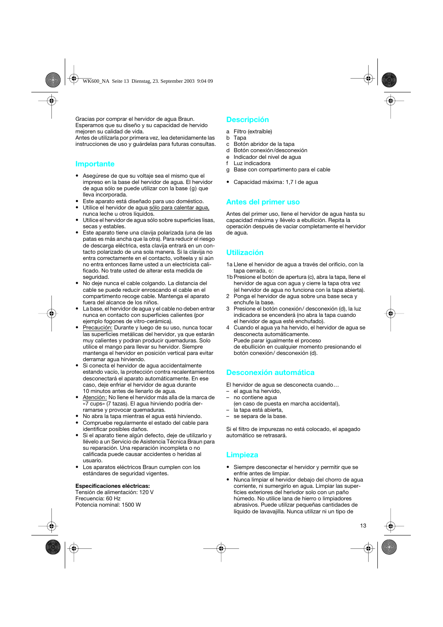Gracias por comprar el hervidor de agua Braun. Esperamos que su diseño y su capacidad de hervido mejoren su calidad de vida.

Antes de utilizarla por primera vez, lea detenidamente las instrucciones de uso y guárdelas para futuras consultas.

#### **Importante**

- Asegúrese de que su voltaje sea el mismo que el impreso en la base del hervidor de agua. El hervidor de agua sólo se puede utilizar con la base (g) que lleva incorporada.
- Este aparato está diseñado para uso doméstico.
- Utilice el hervidor de agua sólo para calentar agua, nunca leche u otros líquidos.
- Utilice el hervidor de agua sólo sobre superficies lisas, secas y estables.
- Este aparato tiene una clavija polarizada (una de las patas es más ancha que la otra). Para reducir el riesgo de descarga eléctrica, esta clavija entrará en un contacto polarizado de una sola manera. Si la clavija no entra correctamente en el contacto, volteela y si aún no entra entonces Ilame usted a un electricista calificado. No trate usted de alterar esta medida de seguridad.
- No deje nunca el cable colgando. La distancia del cable se puede reducir enroscando el cable en el compartimento recoge cable. Mantenga el aparato fuera del alcance de los niños.
- La base, el hervidor de agua y el cable no deben entrar nunca en contacto con superficies calientes (por ejemplo fogones de vitro-cerámica).
- Precaución: Durante y luego de su uso, nunca tocar las superficies metálicas del hervidor, ya que estarán muy calientes y podran producir quemaduras. Solo utilice el mango para llevar su hervidor. Siempre mantenga el hervidor en posición vertical para evitar derramar agua hirviendo.
- Si conecta el hervidor de agua accidentalmente estando vacío, la protección contra recalentamientos desconectará el aparato automáticamente. En ese caso, deje enfriar el hervidor de agua durante 10 minutos antes de llenarlo de agua.
- Atención: No llene el hervidor más alla de la marca de «7 cups» (7 tazas). El agua hirviendo podría derramarse y provocar quemaduras.
- No abra la tapa mientras el agua está hirviendo.
- Compruebe regularmente el estado del cable para identificar posibles daños.
- Si el aparato tiene algún defecto, deje de utilizarlo y llévelo a un Servicio de Asistencia Técnica Braun para su reparación. Una reparación incompleta o no calificada puede causar accidentes o heridas al usuario.
- Los aparatos eléctricos Braun cumplen con los estándares de seguridad vigentes.

#### **Especificaciones eléctricas:**

Tensión de alimentación: 120 V Frecuencia: 60 Hz Potencia nominal: 1500 W

## **Descripción**

- a Filtro (extraíble)
- b Tapa
- c Botón abridor de la tapa
- d Botón conexión/desconexión
- e Indicador del nivel de agua
- f Luz indicadora
- g Base con compartimento para el cable
- Capacidad máxima: 1,7 l de agua

### **Antes del primer uso**

Antes del primer uso, llene el hervidor de agua hasta su capacidad máxima y llévelo a ebullición. Repita la operación después de vaciar completamente el hervidor de agua.

# **Utilización**

- 1a Llene el hervidor de agua a través del orificio, con la tapa cerrada, o:
- 1b Presione el botón de apertura (c), abra la tapa, llene el hervidor de agua con agua y cierre la tapa otra vez (el hervidor de agua no funciona con la tapa abierta).
- 2 Ponga el hervidor de agua sobre una base seca y enchufe la base.
- 3 Presione el botón conexión/ desconexión (d), la luz indicadora se encenderá (no abra la tapa cuando el hervidor de agua esté enchufado).
- 4 Cuando el agua ya ha hervido, el hervidor de agua se desconecta automáticamente. Puede parar igualmente el proceso de ebullición en cualquier momento presionando el botón conexión/ desconexión (d).

### **Desconexión automática**

El hervidor de agua se desconecta cuando…

- el agua ha hervido,
- no contiene agua
- (en caso de puesta en marcha accidental),
- la tapa está abierta,
- se separa de la base.

Si el filtro de impurezas no está colocado, el apagado automático se retrasará.

### **Limpieza**

- Siempre desconectar el hervidor y permitir que se enfrie antes de limpiar.
- Nunca limpiar el hervidor debajo del chorro de agua corriente, ni sumergirlo en agua. Limpiar las superficies exteriores del herivdor solo con un paño húmedo. No utilice lana de hierro o limpiadores abrasivos. Puede utilizar pequeñas cantidades de líquido de lavavajilla. Nunca utilizar ni un tipo de